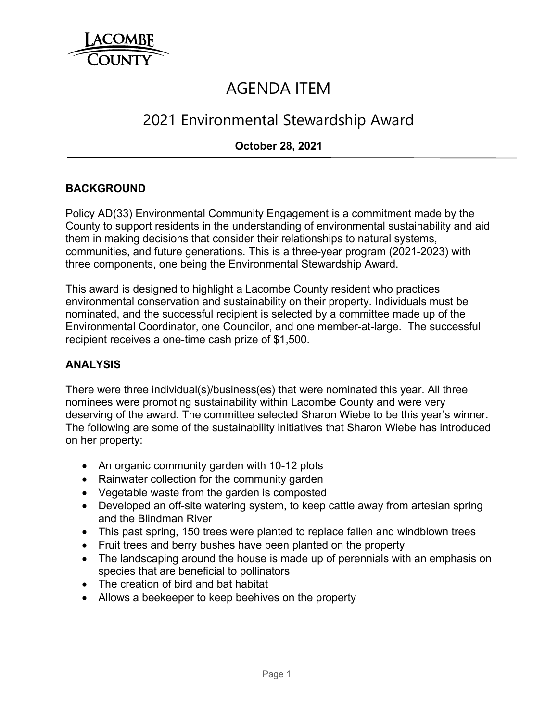

# AGENDA ITEM

# 2021 Environmental Stewardship Award

## **October 28, 2021**

#### **BACKGROUND**

Policy AD(33) Environmental Community Engagement is a commitment made by the County to support residents in the understanding of environmental sustainability and aid them in making decisions that consider their relationships to natural systems, communities, and future generations. This is a three-year program (2021-2023) with three components, one being the Environmental Stewardship Award.

This award is designed to highlight a Lacombe County resident who practices environmental conservation and sustainability on their property. Individuals must be nominated, and the successful recipient is selected by a committee made up of the Environmental Coordinator, one Councilor, and one member-at-large. The successful recipient receives a one-time cash prize of \$1,500.

## **ANALYSIS**

There were three individual(s)/business(es) that were nominated this year. All three nominees were promoting sustainability within Lacombe County and were very deserving of the award. The committee selected Sharon Wiebe to be this year's winner. The following are some of the sustainability initiatives that Sharon Wiebe has introduced on her property:

- An organic community garden with 10-12 plots
- Rainwater collection for the community garden
- Vegetable waste from the garden is composted
- Developed an off-site watering system, to keep cattle away from artesian spring and the Blindman River
- This past spring, 150 trees were planted to replace fallen and windblown trees
- Fruit trees and berry bushes have been planted on the property
- The landscaping around the house is made up of perennials with an emphasis on species that are beneficial to pollinators
- The creation of bird and bat habitat
- Allows a beekeeper to keep beehives on the property